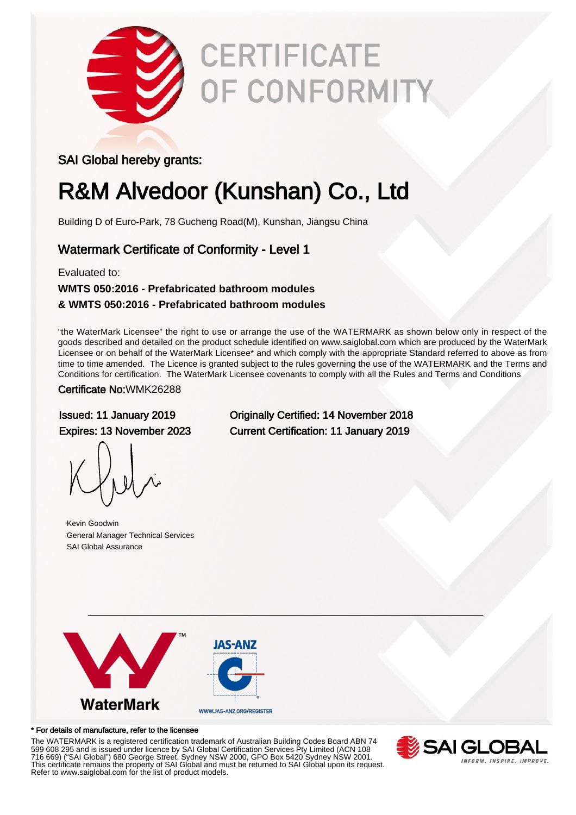

# **CERTIFICATE** OF CONFORMITY

### SAI Global hereby grants:

### R&M Alvedoor (Kunshan) Co., Ltd

Building D of Euro-Park, 78 Gucheng Road(M), Kunshan, Jiangsu China

### Watermark Certificate of Conformity - Level 1

### Evaluated to: **WMTS 050:2016 - Prefabricated bathroom modules & WMTS 050:2016 - Prefabricated bathroom modules**

"the WaterMark Licensee" the right to use or arrange the use of the WATERMARK as shown below only in respect of the goods described and detailed on the product schedule identified on www.saiglobal.com which are produced by the WaterMark Licensee or on behalf of the WaterMark Licensee\* and which comply with the appropriate Standard referred to above as from time to time amended. The Licence is granted subject to the rules governing the use of the WATERMARK and the Terms and Conditions for certification. The WaterMark Licensee covenants to comply with all the Rules and Terms and Conditions

#### Certificate No:WMK26288

Kevin Goodwin General Manager Technical Services SAI Global Assurance

Issued: 11 January 2019 Originally Certified: 14 November 2018 Expires: 13 November 2023 Current Certification: 11 January 2019



#### \* For details of manufacture, refer to the licensee

The WATERMARK is a registered certification trademark of Australian Building Codes Board ABN 74 599 608 295 and is issued under licence by SAI Global Certification Services Pty Limited (ACN 108 716 669) ("SAI Global") 680 George Street, Sydney NSW 2000, GPO Box 5420 Sydney NSW 2001. This certificate remains the property of SAI Global and must be returned to SAI Global upon its request. Refer to www.saiglobal.com for the list of product models.

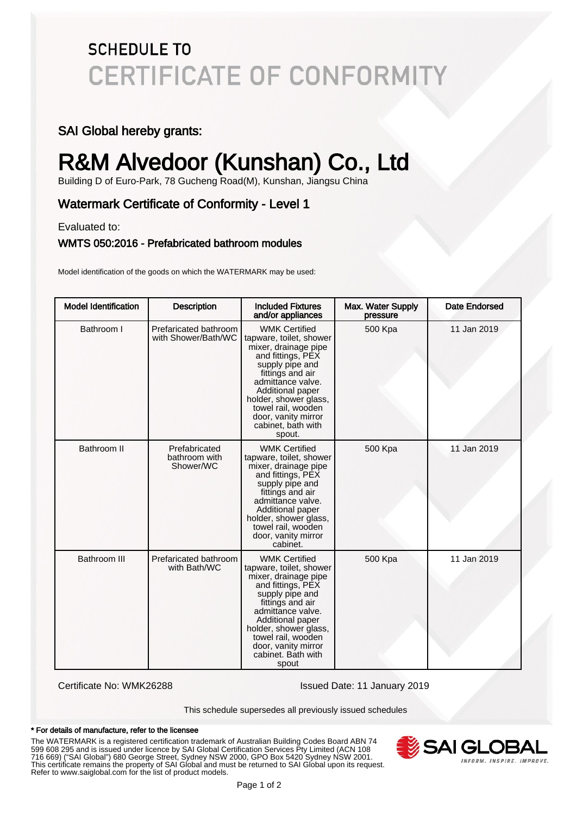### **SCHEDULE TO CERTIFICATE OF CONFORMITY**

### SAI Global hereby grants:

## R&M Alvedoor (Kunshan) Co., Ltd

Building D of Euro-Park, 78 Gucheng Road(M), Kunshan, Jiangsu China

### Watermark Certificate of Conformity - Level 1

Evaluated to:

#### WMTS 050:2016 - Prefabricated bathroom modules

Model identification of the goods on which the WATERMARK may be used:

| <b>Model Identification</b> | <b>Description</b>                           | <b>Included Fixtures</b><br>and/or appliances                                                                                                                                                                                                                                      | Max. Water Supply<br>pressure | <b>Date Endorsed</b> |
|-----------------------------|----------------------------------------------|------------------------------------------------------------------------------------------------------------------------------------------------------------------------------------------------------------------------------------------------------------------------------------|-------------------------------|----------------------|
| Bathroom I                  | Prefaricated bathroom<br>with Shower/Bath/WC | <b>WMK Certified</b><br>tapware, toilet, shower<br>mixer, drainage pipe<br>and fittings, PEX<br>supply pipe and<br>fittings and air<br>admittance valve.<br>Additional paper<br>holder, shower glass,<br>towel rail, wooden<br>door, vanity mirror<br>cabinet, bath with<br>spout. | 500 Kpa                       | 11 Jan 2019          |
| <b>Bathroom II</b>          | Prefabricated<br>bathroom with<br>Shower/WC  | <b>WMK Certified</b><br>tapware, toilet, shower<br>mixer, drainage pipe<br>and fittings, PEX<br>supply pipe and<br>fittings and air<br>admittance valve.<br>Additional paper<br>holder, shower glass,<br>towel rail, wooden<br>door, vanity mirror<br>cabinet.                     | 500 Kpa                       | 11 Jan 2019          |
| Bathroom III                | Prefaricated bathroom<br>with Bath/WC        | <b>WMK Certified</b><br>tapware, toilet, shower<br>mixer, drainage pipe<br>and fittings, PEX<br>supply pipe and<br>fittings and air<br>admittance valve.<br>Additional paper<br>holder, shower glass,<br>towel rail, wooden<br>door, vanity mirror<br>cabinet. Bath with<br>spout  | 500 Kpa                       | 11 Jan 2019          |

Certificate No: WMK26288 Issued Date: 11 January 2019

This schedule supersedes all previously issued schedules

#### \* For details of manufacture, refer to the licensee

The WATERMARK is a registered certification trademark of Australian Building Codes Board ABN 74 599 608 295 and is issued under licence by SAI Global Certification Services Pty Limited (ACN 108 716 669) ("SAI Global") 680 George Street, Sydney NSW 2000, GPO Box 5420 Sydney NSW 2001. This certificate remains the property of SAI Global and must be returned to SAI Global upon its request. Refer to www.saiglobal.com for the list of product models.